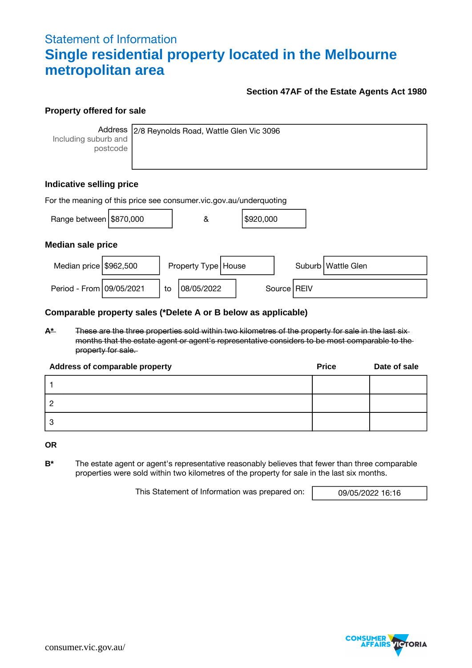# Statement of Information **Single residential property located in the Melbourne metropolitan area**

## **Section 47AF of the Estate Agents Act 1980**

## **Property offered for sale**

**Address** Including suburb and postcode

2/8 Reynolds Road, Wattle Glen Vic 3096

# **Indicative selling price**

| For the meaning of this price see consumer.vic.gov.au/underquoting |  |    |                       |  |           |  |               |                      |
|--------------------------------------------------------------------|--|----|-----------------------|--|-----------|--|---------------|----------------------|
| Range between \$870,000                                            |  |    | &                     |  | \$920,000 |  |               |                      |
| <b>Median sale price</b>                                           |  |    |                       |  |           |  |               |                      |
| Median price \$962,500                                             |  |    | Property Type   House |  |           |  |               | Suburb   Wattle Glen |
| Period - From 09/05/2021                                           |  | to | 08/05/2022            |  |           |  | Source   REIV |                      |

#### **Comparable property sales (\*Delete A or B below as applicable)**

**A\*** These are the three properties sold within two kilometres of the property for sale in the last six months that the estate agent or agent's representative considers to be most comparable to the property for sale.

| Address of comparable property | <b>Price</b> | Date of sale |
|--------------------------------|--------------|--------------|
|                                |              |              |
|                                |              |              |
| 3                              |              |              |

**OR**

**B\*** The estate agent or agent's representative reasonably believes that fewer than three comparable properties were sold within two kilometres of the property for sale in the last six months.

This Statement of Information was prepared on: 09/05/2022 16:16